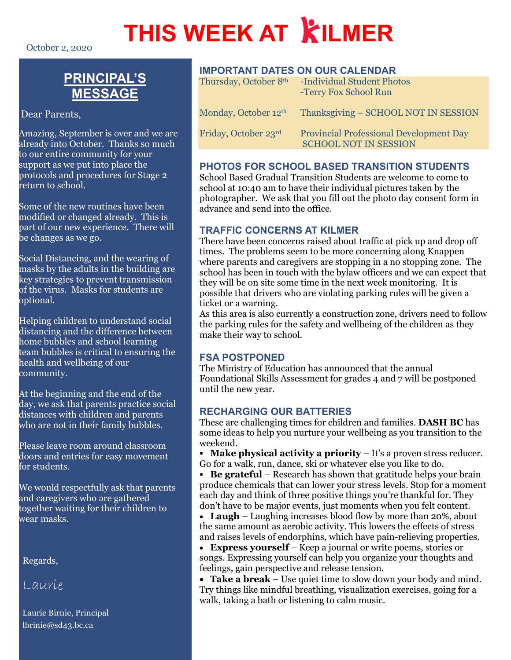# **THIS WEEK AT KILMER**

October 2, 2020

# **PRINCIPAL'S MESSAGE**

Dear Parents,

Amazing, September is over and we are already into October. Thanks so much to our entire community for your support as we put into place the protocols and procedures for Stage 2 return to school.

Some of the new routines have been modified or changed already. This is part of our new experience. There will be changes as we go.

Social Distancing, and the wearing of masks by the adults in the building are key strategies to prevent transmission of the virus. Masks for students are optional.

Helping children to understand social distancing and the difference between home bubbles and school learning team bubbles is critical to ensuring the health and wellbeing of our community.

At the beginning and the end of the day, we ask that parents practice social distances with children and parents who are not in their family bubbles.

Please leave room around classroom doors and entries for easy movement for students.

We would respectfully ask that parents and caregivers who are gathered together waiting for their children to wear masks.

Regards,

Laurie

Laurie Birnie, Principal lbrinie@sd43.bc.ca

# **IMPORTANT DATES ON OUR CALENDAR**

| Thursday, October 8th            | -Individual Student Photos<br>-Terry Fox School Run                            |
|----------------------------------|--------------------------------------------------------------------------------|
| Monday, October 12 <sup>th</sup> | Thanksgiving – SCHOOL NOT IN SESSION                                           |
| Friday, October 23rd             | <b>Provincial Professional Development Day</b><br><b>SCHOOL NOT IN SESSION</b> |

# **PHOTOS FOR SCHOOL BASED TRANSITION STUDENTS**

School Based Gradual Transition Students are welcome to come to school at 10:40 am to have their individual pictures taken by the photographer. We ask that you fill out the photo day consent form in advance and send into the office.

# **TRAFFIC CONCERNS AT KILMER**

There have been concerns raised about traffic at pick up and drop off times. The problems seem to be more concerning along Knappen where parents and caregivers are stopping in a no stopping zone. The school has been in touch with the bylaw officers and we can expect that they will be on site some time in the next week monitoring. It is possible that drivers who are violating parking rules will be given a ticket or a warning.

As this area is also currently a construction zone, drivers need to follow the parking rules for the safety and wellbeing of the children as they make their way to school.

# **FSA POSTPONED**

The Ministry of Education has announced that the annual Foundational Skills Assessment for grades 4 and 7 will be postponed until the new year.

# **RECHARGING OUR BATTERIES**

These are challenging times for children and families. **DASH BC** has some ideas to help you nurture your wellbeing as you transition to the weekend.

 **Make physical activity a priority** – It's a proven stress reducer. Go for a walk, run, dance, ski or whatever else you like to do.

**Be grateful** – Research has shown that gratitude helps your brain produce chemicals that can lower your stress levels. Stop for a moment each day and think of three positive things you're thankful for. They don't have to be major events, just moments when you felt content.

• **Laugh** – Laughing increases blood flow by more than 20%, about the same amount as aerobic activity. This lowers the effects of stress and raises levels of endorphins, which have pain-relieving properties.

• **Express yourself** – Keep a journal or write poems, stories or songs. Expressing yourself can help you organize your thoughts and feelings, gain perspective and release tension.

• **Take a break** – Use quiet time to slow down your body and mind. Try things like mindful breathing, visualization exercises, going for a walk, taking a bath or listening to calm music.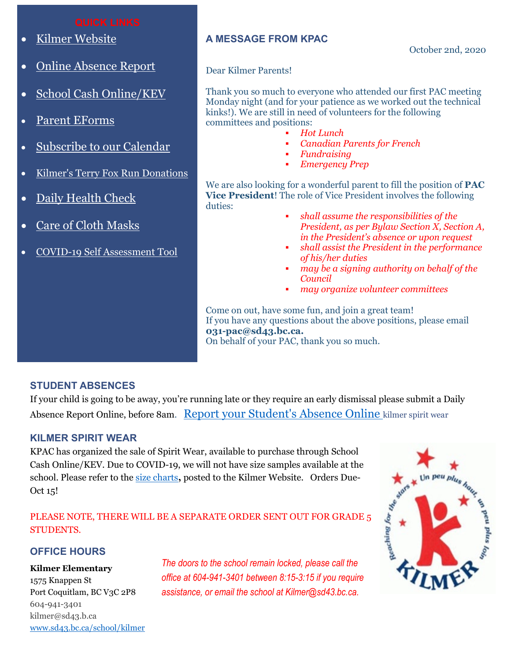- [Kilmer Website](http://www.sd43.bc.ca/school/kilmer/Pages/default.aspx#/=)
- [Online Absence Report](https://www2016.sd43.bc.ca/eforms/_layouts/15/FormServer.aspx?XsnLocation=http://www2016.sd43.bc.ca/eforms/AbsenceReportForm/Forms/template.xsn&OpenIn=browser&SaveLocation=http://www2016.sd43.bc.ca/eforms/AbsenceReportForm&Source=http://www2016.sd43.bc.ca/eforms/AbsenceReportForm)
- [School Cash Online/KEV](http://www.schoolcashonline.com/)
- [Parent EForms](http://www.sd43.bc.ca/school/kilmer/Parents/forms/Pages/default.aspx#/=)
- [Subscribe to our Calendar](http://www.sd43.bc.ca/school/kilmer/_LAYOUTS/15/scholantis/handlers/ical/event.ashx?List=0d97a795-418c-4bb3-a2e1-43959499908f&Redirect=true)
- [Kilmer's Terry Fox Run Donations](https://secure.terryfox.ca/registrant/TeamFundraisingPage.aspx?TeamID=915779)
- [Daily Health Check](http://www.sd43.bc.ca/Lists/Documents/2020.09.18%20Daily%20Health%20Check%20Screen%20(English).pdf)
- [Care of Cloth Masks](https://www.sd43.bc.ca/school/kilmer/Documents/Care%20of%20cloth%20masks.pdf)
- [COVID-19 Self Assessment Tool](https://bc.thrive.health/)

### **A MESSAGE FROM KPAC**

October 2nd, 2020

#### Dear Kilmer Parents!

Thank you so much to everyone who attended our first PAC meeting Monday night (and for your patience as we worked out the technical kinks!). We are still in need of volunteers for the following committees and positions:

- *Hot Lunch*
- *Canadian Parents for French*
- *Fundraising*
- *Emergency Prep*

We are also looking for a wonderful parent to fill the position of **PAC Vice President**! The role of Vice President involves the following duties:

- *shall assume the responsibilities of the President, as per Bylaw Section X, Section A, in the President's absence or upon request*
- *shall assist the President in the performance of his/her duties*
- *may be a signing authority on behalf of the Council*
- *may organize volunteer committees*

Come on out, have some fun, and join a great team! If you have any questions about the above positions, please email **031-pac@sd43.bc.ca.** On behalf of your PAC, thank you so much.

#### **STUDENT ABSENCES**

If your child is going to be away, you're running late or they require an early dismissal please submit a Daily Absence Report Online, before 8am. [Report your Student's Absence Online](https://www2016.sd43.bc.ca/eforms/_layouts/15/FormServer.aspx?XsnLocation=http://www2016.sd43.bc.ca/eforms/AbsenceReportForm/Forms/template.xsn&OpenIn=browser&SaveLocation=http://www2016.sd43.bc.ca/eforms/AbsenceReportForm&Source=http://www2016.sd43.bc.ca/eforms/AbsenceReportForm) kilmer spirit wear

#### **KILMER SPIRIT WEAR**

KPAC has organized the sale of Spirit Wear, available to purchase through School Cash Online/KEV. Due to COVID-19, we will not have size samples available at the school. Please refer to the [size charts](https://www.sd43.bc.ca/school/kilmer/Documents/Forms/AllItems.aspx?RootFolder=%2Fschool%2Fkilmer%2FDocuments%2FKPAC&FolderCTID=0x012000C1C27FC862D19742A232CF0FFA4832AC&View=%7B16D1E608%2D4E37%2D4B11%2D829E%2D8BA491070A50%7D#/=)**,** posted to the Kilmer Website. Orders Due-Oct 15!

#### PLEASE NOTE, THERE WILL BE A SEPARATE ORDER SENT OUT FOR GRADE 5 STUDENTS.

### **OFFICE HOURS**

#### **Kilmer Elementary**

1575 Knappen St Port Coquitlam, BC V3C 2P8 604-941-3401 kilmer@sd43.b.ca [www.sd43.bc.ca/school/kilmer](http://www.sd43.bc.ca/school/kilmer) *The doors to the school remain locked, please call the office at 604-941-3401 between 8:15-3:15 if you require assistance, or email the school at Kilmer@sd43.bc.ca.*